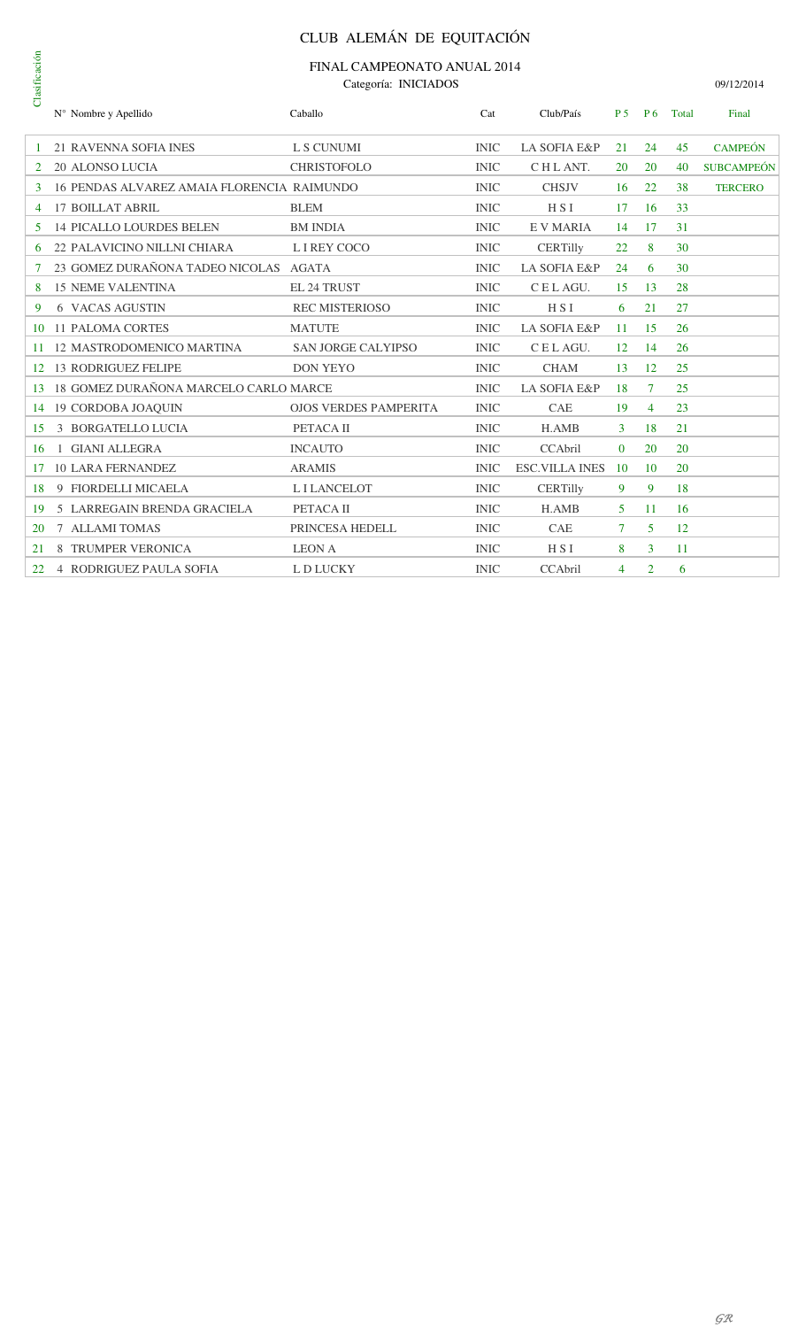### CLUB ALEMÁN DE EQUITACIÓN

#### FINAL CAMPEONATO ANUAL 2014 Categoría: INICIADOS

| Clasificación  | FINAL CAMPEONATO ANUAL 2014<br>Categoría: INICIADOS |                              |             |                         |                |                |       |                   |  |  |  |  |
|----------------|-----------------------------------------------------|------------------------------|-------------|-------------------------|----------------|----------------|-------|-------------------|--|--|--|--|
|                | $N^{\circ}$ Nombre y Apellido                       | Caballo                      | Cat         | Club/País               | <b>P</b> 5     | <b>P6</b>      | Total | Final             |  |  |  |  |
|                | 21 RAVENNA SOFIA INES                               | L S CUNUMI                   | <b>INIC</b> | LA SOFIA E&P            | 21             | 24             | 45    | <b>CAMPEÓN</b>    |  |  |  |  |
| $\overline{2}$ | <b>20 ALONSO LUCIA</b>                              | <b>CHRISTOFOLO</b>           | <b>INIC</b> | CHLANT.                 | 20             | 20             | 40    | <b>SUBCAMPEÓN</b> |  |  |  |  |
| 3.             | 16 PENDAS ALVAREZ AMAIA FLORENCIA RAIMUNDO          |                              | <b>INIC</b> | <b>CHSJV</b>            | 16             | 22             | 38    | <b>TERCERO</b>    |  |  |  |  |
| 4              | <b>17 BOILLAT ABRIL</b>                             | <b>BLEM</b>                  | <b>INIC</b> | <b>HSI</b>              | 17             | 16             | 33    |                   |  |  |  |  |
| 5.             | <b>14 PICALLO LOURDES BELEN</b>                     | <b>BM INDIA</b>              | <b>INIC</b> | E V MARIA               | 14             | 17             | 31    |                   |  |  |  |  |
| 6              | 22 PALAVICINO NILLNI CHIARA                         | L I REY COCO                 | <b>INIC</b> | <b>CERTilly</b>         | 22             | 8              | 30    |                   |  |  |  |  |
| 7              | 23 GOMEZ DURAÑONA TADEO NICOLAS AGATA               |                              | <b>INIC</b> | <b>LA SOFIA E&amp;P</b> | 24             | 6              | 30    |                   |  |  |  |  |
| 8              | <b>15 NEME VALENTINA</b>                            | <b>EL 24 TRUST</b>           | <b>INIC</b> | CELAGU.                 | 15             | 13             | 28    |                   |  |  |  |  |
| 9              | <b>6 VACAS AGUSTIN</b>                              | <b>REC MISTERIOSO</b>        | <b>INIC</b> | <b>HSI</b>              | 6              | 21             | 27    |                   |  |  |  |  |
| 10             | <b>11 PALOMA CORTES</b>                             | <b>MATUTE</b>                | <b>INIC</b> | <b>LA SOFIA E&amp;P</b> | 11             | 15             | 26    |                   |  |  |  |  |
| 11             | 12 MASTRODOMENICO MARTINA                           | <b>SAN JORGE CALYIPSO</b>    | <b>INIC</b> | CELAGU.                 | 12             | 14             | 26    |                   |  |  |  |  |
| 12             | <b>13 RODRIGUEZ FELIPE</b>                          | <b>DON YEYO</b>              | <b>INIC</b> | <b>CHAM</b>             | 13             | 12             | 25    |                   |  |  |  |  |
| 13             | 18 GOMEZ DURAÑONA MARCELO CARLO MARCE               |                              | <b>INIC</b> | <b>LA SOFIA E&amp;P</b> | 18             | 7              | 25    |                   |  |  |  |  |
| 14             | 19 CORDOBA JOAQUIN                                  | <b>OJOS VERDES PAMPERITA</b> | <b>INIC</b> | <b>CAE</b>              | 19             | 4              | 23    |                   |  |  |  |  |
| 15             | 3 BORGATELLO LUCIA                                  | PETACA II                    | <b>INIC</b> | H.AMB                   | 3              | 18             | 21    |                   |  |  |  |  |
| 16             | 1 GIANI ALLEGRA                                     | <b>INCAUTO</b>               | <b>INIC</b> | <b>CCAbril</b>          | $\theta$       | 20             | 20    |                   |  |  |  |  |
| 17             | <b>10 LARA FERNANDEZ</b>                            | <b>ARAMIS</b>                | <b>INIC</b> | <b>ESC.VILLA INES</b>   | 10             | 10             | 20    |                   |  |  |  |  |
| 18             | 9 FIORDELLI MICAELA                                 | L I LANCELOT                 | <b>INIC</b> | <b>CERTilly</b>         | 9              | 9              | 18    |                   |  |  |  |  |
| 19             | 5 LARREGAIN BRENDA GRACIELA                         | PETACA II                    | <b>INIC</b> | H.AMB                   | 5              | 11             | 16    |                   |  |  |  |  |
| 20             | 7 ALLAMI TOMAS                                      | PRINCESA HEDELL              | <b>INIC</b> | <b>CAE</b>              | 7              | 5              | 12    |                   |  |  |  |  |
| 21             | <b>8 TRUMPER VERONICA</b>                           | <b>LEON A</b>                | <b>INIC</b> | <b>HSI</b>              | 8              | 3              | 11    |                   |  |  |  |  |
| 22             | <b>4 RODRIGUEZ PAULA SOFIA</b>                      | L D LUCKY                    | <b>INIC</b> | CCAbril                 | $\overline{4}$ | $\overline{2}$ | 6     |                   |  |  |  |  |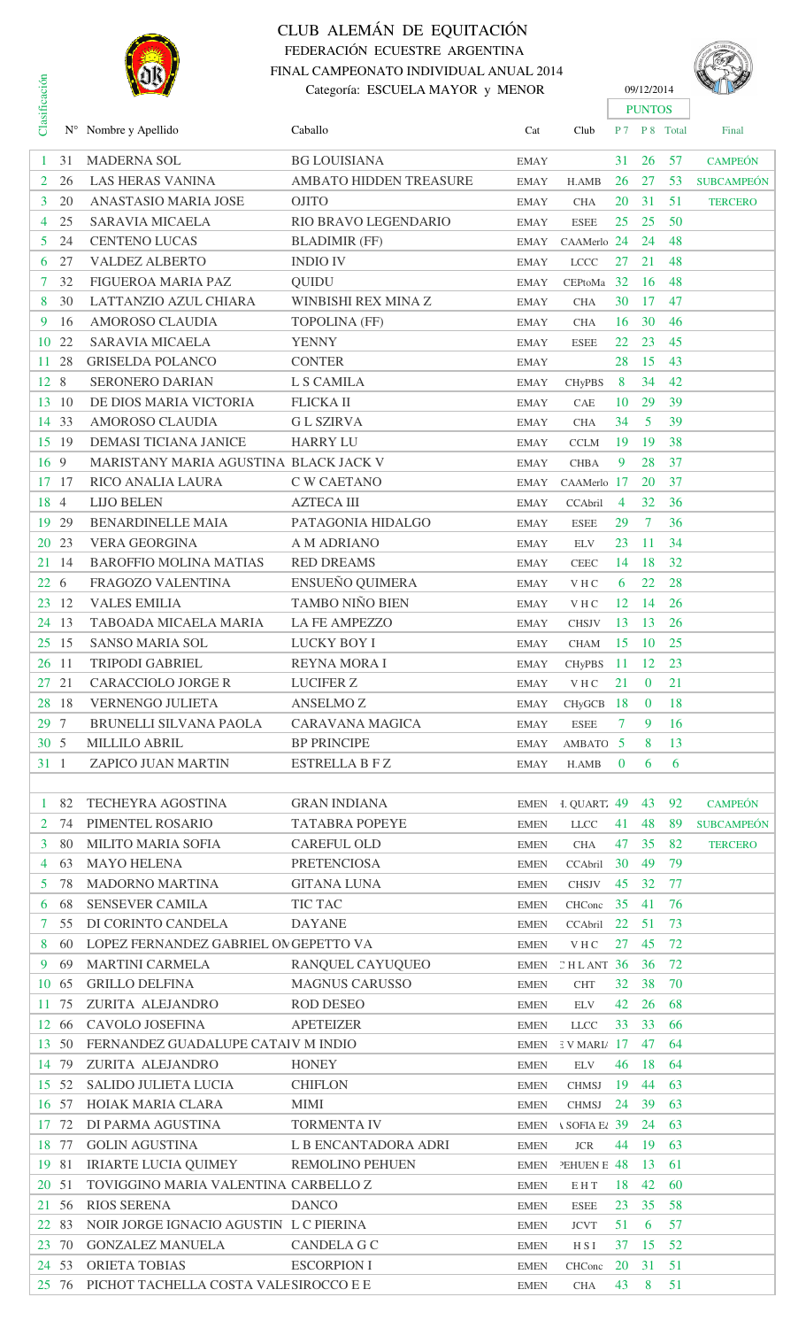

### CLUB ALEMÁN DE EQUITACIÓN FEDERACIÓN ECUESTRE ARGENTINA FINAL CAMPEONATO INDIVIDUAL ANUAL 2014 Categoría: ESCUELA MAYOR y MENOR 09/12/2014



|                 |                | FINAL CAMPEONATO INDIVIDUAL ANUAL 2014<br>OK) |                                  |             | 09/12/2014                             |               |               |               |                   |
|-----------------|----------------|-----------------------------------------------|----------------------------------|-------------|----------------------------------------|---------------|---------------|---------------|-------------------|
| Clasificación   |                |                                               | Categoría: ESCUELA MAYOR y MENOR |             |                                        |               | <b>PUNTOS</b> |               |                   |
|                 |                | $N^{\circ}$ Nombre y Apellido                 | Caballo                          | Cat         | Club                                   |               |               | P 7 P 8 Total | Final             |
|                 |                |                                               |                                  |             |                                        |               |               |               |                   |
| -1              | 31             | <b>MADERNA SOL</b>                            | <b>BG LOUISIANA</b>              | <b>EMAY</b> |                                        | 31            | 26            | 57            | <b>CAMPEÓN</b>    |
| 2               | 26             | <b>LAS HERAS VANINA</b>                       | AMBATO HIDDEN TREASURE           | <b>EMAY</b> | H.AMB                                  | 26            | 27            | 53            | <b>SUBCAMPEÓN</b> |
| 3               | 20             | ANASTASIO MARIA JOSE                          | <b>OJITO</b>                     | <b>EMAY</b> | <b>CHA</b>                             | 20            | 31            | 51            | <b>TERCERO</b>    |
| 4               | 25             | SARAVIA MICAELA                               | RIO BRAVO LEGENDARIO             | <b>EMAY</b> | <b>ESEE</b>                            | 25            | 25            | 50            |                   |
| 5               | 24             | <b>CENTENO LUCAS</b>                          | <b>BLADIMIR (FF)</b>             | EMAY        | CAAMerlo 24                            |               | 24            | 48            |                   |
| 6               | 27             | <b>VALDEZ ALBERTO</b>                         | <b>INDIO IV</b>                  | <b>EMAY</b> | LCCC                                   | 27            | 21            | 48            |                   |
| 7               | 32             | FIGUEROA MARIA PAZ                            | QUIDU                            | <b>EMAY</b> | CEPtoMa 32                             |               | 16            | 48            |                   |
| 8               | 30             | LATTANZIO AZUL CHIARA                         | WINBISHI REX MINA Z              | <b>EMAY</b> | <b>CHA</b>                             | 30            | 17            | 47            |                   |
| 9               | 16             | <b>AMOROSO CLAUDIA</b>                        | TOPOLINA (FF)                    | <b>EMAY</b> | <b>CHA</b>                             | 16            | 30            | 46            |                   |
|                 | 10 22          | <b>SARAVIA MICAELA</b>                        | <b>YENNY</b>                     | <b>EMAY</b> | <b>ESEE</b>                            | 22            | 23            | 45            |                   |
| 11              | 28             | <b>GRISELDA POLANCO</b>                       | <b>CONTER</b>                    | <b>EMAY</b> |                                        | 28            | 15            | 43            |                   |
| 12 8            |                | <b>SERONERO DARIAN</b>                        | L S CAMILA                       | <b>EMAY</b> | <b>CHyPBS</b>                          | 8             | 34            | 42            |                   |
| 13              | 10             | DE DIOS MARIA VICTORIA                        | <b>FLICKA II</b>                 | <b>EMAY</b> | CAE                                    | 10            | 29            | 39            |                   |
|                 | 14 33          | AMOROSO CLAUDIA                               | <b>GL SZIRVA</b>                 |             | <b>CHA</b>                             | 34            | 5             | 39            |                   |
|                 |                | <b>DEMASI TICIANA JANICE</b>                  | <b>HARRY LU</b>                  | <b>EMAY</b> |                                        |               | 19            | 38            |                   |
|                 | 15 19          |                                               |                                  | <b>EMAY</b> | <b>CCLM</b>                            | 19            |               |               |                   |
| 16 <sup>9</sup> |                | MARISTANY MARIA AGUSTINA BLACK JACK V         |                                  | <b>EMAY</b> | <b>CHBA</b>                            | 9             | 28            | 37            |                   |
| 17              | -17            | RICO ANALIA LAURA                             | C W CAETANO                      | <b>EMAY</b> | CAAMerlo 17                            |               | 20            | 37            |                   |
| 18              | $\overline{4}$ | <b>LIJO BELEN</b>                             | <b>AZTECA III</b>                | <b>EMAY</b> | CCAbril                                | 4             | 32            | 36            |                   |
| 19              | 29             | <b>BENARDINELLE MAIA</b>                      | PATAGONIA HIDALGO                | <b>EMAY</b> | <b>ESEE</b>                            | 29            | 7             | 36            |                   |
| 20              | 23             | <b>VERA GEORGINA</b>                          | A M ADRIANO                      | <b>EMAY</b> | <b>ELV</b>                             | 23            | 11            | 34            |                   |
|                 | 21 14          | <b>BAROFFIO MOLINA MATIAS</b>                 | <b>RED DREAMS</b>                | <b>EMAY</b> | <b>CEEC</b>                            | 14            | 18            | 32            |                   |
| 22              | - 6            | FRAGOZO VALENTINA                             | ENSUEÑO QUIMERA                  | <b>EMAY</b> | VHC                                    | 6             | 22            | 28            |                   |
| 23              | -12            | <b>VALES EMILIA</b>                           | <b>TAMBO NIÑO BIEN</b>           | <b>EMAY</b> | VHC                                    | 12            | 14            | 26            |                   |
|                 | 24 13          | TABOADA MICAELA MARIA                         | <b>LA FE AMPEZZO</b>             | <b>EMAY</b> | <b>CHSJV</b>                           | 13            | 13            | 26            |                   |
|                 | 25 15          | <b>SANSO MARIA SOL</b>                        | <b>LUCKY BOY I</b>               | <b>EMAY</b> | <b>CHAM</b>                            | 15            | 10            | 25            |                   |
| 26              | <sup>11</sup>  | <b>TRIPODI GABRIEL</b>                        | REYNA MORA I                     | <b>EMAY</b> | <b>CHyPBS</b>                          | <sup>11</sup> | 12            | 23            |                   |
| 27              | 21             | <b>CARACCIOLO JORGE R</b>                     | <b>LUCIFER Z</b>                 | <b>EMAY</b> | VHC                                    | 21            | $\mathbf{0}$  | 21            |                   |
|                 | 28 18          | <b>VERNENGO JULIETA</b>                       | <b>ANSELMOZ</b>                  | <b>EMAY</b> | CHyGCB                                 | - 18          | $\mathbf{0}$  | 18            |                   |
| 29 7            |                | BRUNELLI SILVANA PAOLA                        | <b>CARAVANA MAGICA</b>           | <b>EMAY</b> | <b>ESEE</b>                            | 7             | 9             | 16            |                   |
| 30 <sub>5</sub> |                | <b>MILLILO ABRIL</b>                          | <b>BP PRINCIPE</b>               | <b>EMAY</b> | AMBATO <sub>5</sub>                    |               | 8             | 13            |                   |
| 31 1            |                | ZAPICO JUAN MARTIN                            | <b>ESTRELLA B F Z</b>            | <b>EMAY</b> | H.AMB                                  | $\mathbf{0}$  | 6             | 6             |                   |
|                 |                |                                               |                                  |             |                                        |               |               |               |                   |
| -1              | 82             | <b>TECHEYRA AGOSTINA</b>                      | <b>GRAN INDIANA</b>              | <b>EMEN</b> | I. QUART. 49                           |               | 43            | 92            | <b>CAMPEÓN</b>    |
| 2               | 74             | PIMENTEL ROSARIO                              | <b>TATABRA POPEYE</b>            | <b>EMEN</b> | <b>LLCC</b>                            | 41            | 48            | 89            | <b>SUBCAMPEÓN</b> |
| 3               | 80             | <b>MILITO MARIA SOFIA</b>                     | <b>CAREFUL OLD</b>               | <b>EMEN</b> | <b>CHA</b>                             | 47            | 35            | 82            | <b>TERCERO</b>    |
| 4               | 63             | <b>MAYO HELENA</b>                            | <b>PRETENCIOSA</b>               | <b>EMEN</b> | CCAbril                                | 30            | 49            | 79            |                   |
| 5               | 78             | <b>MADORNO MARTINA</b>                        | <b>GITANA LUNA</b>               |             | <b>CHSJV</b>                           | 45            | 32            | 77            |                   |
|                 | 68             | <b>SENSEVER CAMILA</b>                        | TIC TAC                          | <b>EMEN</b> |                                        |               | 41            | 76            |                   |
| 6               |                |                                               |                                  | <b>EMEN</b> | CHConc                                 | 35            |               |               |                   |
| 7               | 55             | DI CORINTO CANDELA                            | <b>DAYANE</b>                    | <b>EMEN</b> | CCAbril                                | 22            | 51            | 73            |                   |
| 8               | 60             | LOPEZ FERNANDEZ GABRIEL ON GEPETTO VA         |                                  | <b>EMEN</b> | VHC                                    | 27            | 45            | 72            |                   |
| 9               | 69             | <b>MARTINI CARMELA</b>                        | RANQUEL CAYUQUEO                 | <b>EMEN</b> | $CHLANT$ 36                            |               | 36            | 72            |                   |
| 10              | 65             | <b>GRILLO DELFINA</b>                         | <b>MAGNUS CARUSSO</b>            | <b>EMEN</b> | <b>CHT</b>                             | 32            | 38            | 70            |                   |
|                 | 11 75          | ZURITA ALEJANDRO                              | ROD DESEO                        | <b>EMEN</b> | ELV                                    | 42            | 26            | 68            |                   |
| 12              | 66             | CAVOLO JOSEFINA                               | <b>APETEIZER</b>                 | <b>EMEN</b> | <b>LLCC</b>                            | 33            | 33            | 66            |                   |
|                 | 13 50          | FERNANDEZ GUADALUPE CATAIV M INDIO            |                                  | <b>EMEN</b> | $3 \text{V}$ MARI $4$ 17               |               | 47            | 64            |                   |
|                 | 14 79          | ZURITA ALEJANDRO                              | <b>HONEY</b>                     | <b>EMEN</b> | <b>ELV</b>                             | 46            | 18            | 64            |                   |
|                 | 15 52          | SALIDO JULIETA LUCIA                          | <b>CHIFLON</b>                   | <b>EMEN</b> | <b>CHMSJ</b>                           | 19            | 44            | 63            |                   |
| 16              | 57             | HOIAK MARIA CLARA                             | <b>MIMI</b>                      | <b>EMEN</b> | <b>CHMSJ</b>                           | 24            | 39            | 63            |                   |
|                 | 17 72          | DI PARMA AGUSTINA                             | <b>TORMENTA IV</b>               | <b>EMEN</b> | $\sqrt{\text{SOFA}}$ E <sub>s</sub> 39 |               | 24            | 63            |                   |
| 18              | 77             | <b>GOLIN AGUSTINA</b>                         | L B ENCANTADORA ADRI             | <b>EMEN</b> | <b>JCR</b>                             | 44            | 19            | 63            |                   |
| 19              | 81             | <b>IRIARTE LUCIA QUIMEY</b>                   | REMOLINO PEHUEN                  | <b>EMEN</b> | PEHUEN E 48                            |               | 13            | 61            |                   |
| 20              | 51             | TOVIGGINO MARIA VALENTINA CARBELLO Z          |                                  | <b>EMEN</b> | EHT                                    | 18            | 42            | 60            |                   |
| 21              | 56             | <b>RIOS SERENA</b>                            | <b>DANCO</b>                     | <b>EMEN</b> | <b>ESEE</b>                            | 23            | 35            | 58            |                   |
| 22              | 83             | NOIR JORGE IGNACIO AGUSTIN L C PIERINA        |                                  | <b>EMEN</b> | <b>JCVT</b>                            | 51            | 6             | 57            |                   |
| 23              | 70             | <b>GONZALEZ MANUELA</b>                       | CANDELA G C                      | <b>EMEN</b> | H S I                                  | 37            | 15            | 52            |                   |
|                 | 24 53          | <b>ORIETA TOBIAS</b>                          | <b>ESCORPION I</b>               | <b>EMEN</b> | CHConc                                 | 20            | 31            | 51            |                   |
|                 | 25 76          | PICHOT TACHELLA COSTA VALE SIROCCO E E        |                                  | <b>EMEN</b> | <b>CHA</b>                             | 43            | 8             | 51            |                   |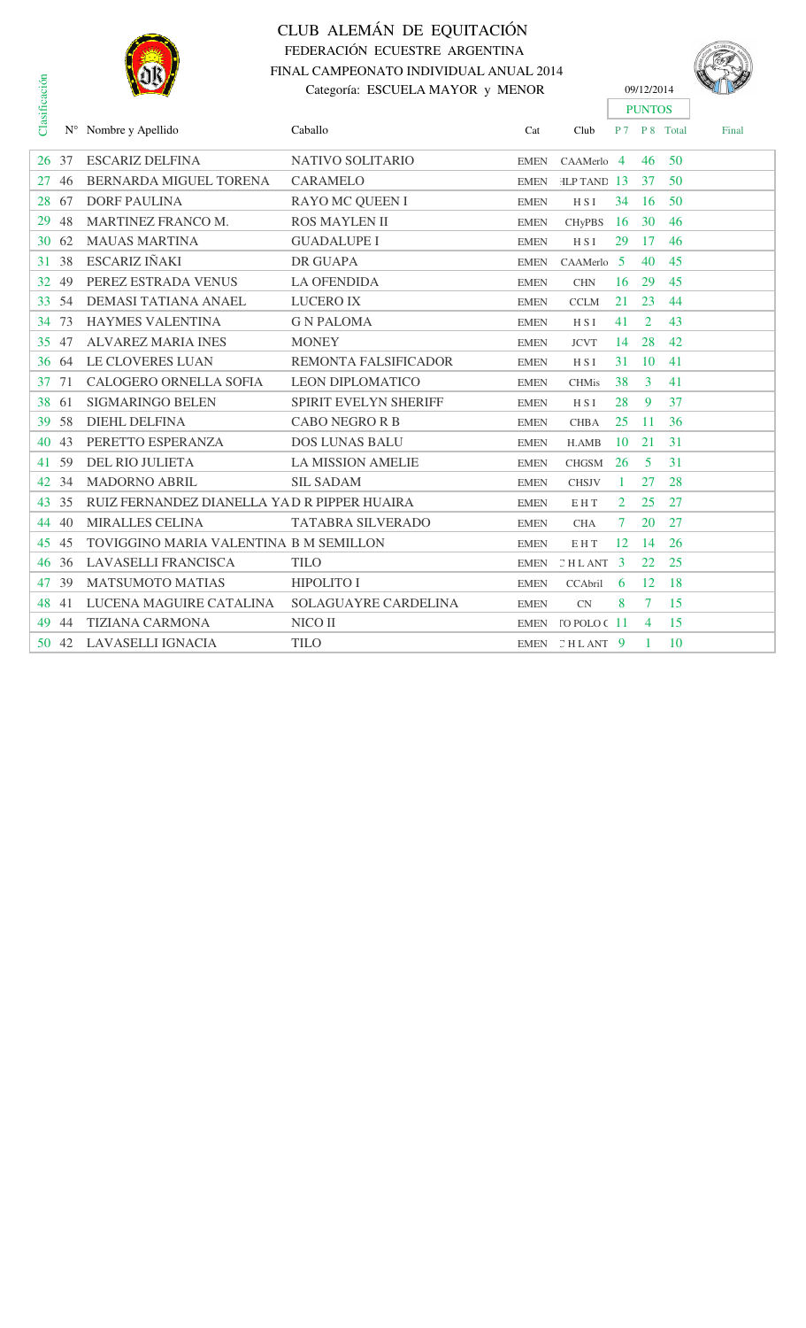

ficación

### CLUB ALEMÁN DE EQUITACIÓN FEDERACIÓN ECUESTRE ARGENTINA FINAL CAMPEONATO INDIVIDUAL ANUAL 2014 Categoría: ESCUELA MAYOR y MENOR 09/12/2014



| Clasific |       |                                             |                              |             |                  | <b>PUNTOS</b> |                |               |       |
|----------|-------|---------------------------------------------|------------------------------|-------------|------------------|---------------|----------------|---------------|-------|
|          |       | N° Nombre y Apellido                        | Caballo                      | Cat         | Club             |               |                | P 7 P 8 Total | Final |
|          | 26 37 | <b>ESCARIZ DELFINA</b>                      | NATIVO SOLITARIO             | <b>EMEN</b> | $CAAMerlo$ 4     |               | 46             | 50            |       |
| 27       | 46    | BERNARDA MIGUEL TORENA                      | <b>CARAMELO</b>              | <b>EMEN</b> | HLP TAND 13      |               | 37             | 50            |       |
| 28       | 67    | <b>DORF PAULINA</b>                         | RAYO MC QUEEN I              | <b>EMEN</b> | H S I            | 34            | -16            | 50            |       |
| 29       | 48    | MARTINEZ FRANCO M.                          | <b>ROS MAYLEN II</b>         | <b>EMEN</b> | <b>CHyPBS</b>    | -16           | <b>30</b>      | 46            |       |
|          | 30 62 | <b>MAUAS MARTINA</b>                        | <b>GUADALUPE I</b>           | <b>EMEN</b> | HSI              | 29            | 17             | 46            |       |
| 31       | 38    | <b>ESCARIZ IÑAKI</b>                        | DR GUAPA                     | <b>EMEN</b> | $CAAMerlo$ 5     |               | 40             | 45            |       |
| 32       | 49    | PEREZ ESTRADA VENUS                         | <b>LA OFENDIDA</b>           | <b>EMEN</b> | <b>CHN</b>       | 16            | 29             | 45            |       |
| 33       | .54   | DEMASI TATIANA ANAEL                        | <b>LUCERO IX</b>             | <b>EMEN</b> | <b>CCLM</b>      | 21            | 23             | 44            |       |
| 34       | 73    | <b>HAYMES VALENTINA</b>                     | <b>G N PALOMA</b>            | <b>EMEN</b> | H S I            | 41            | 2              | 43            |       |
| 35       | 47    | <b>ALVAREZ MARIA INES</b>                   | <b>MONEY</b>                 | <b>EMEN</b> | <b>JCVT</b>      | 14            | 28             | 42            |       |
|          | 36 64 | LE CLOVERES LUAN                            | REMONTA FALSIFICADOR         | <b>EMEN</b> | H S I            | 31            | 10             | 41            |       |
| 37       | 71    | CALOGERO ORNELLA SOFIA                      | <b>LEON DIPLOMATICO</b>      | <b>EMEN</b> | <b>CHMis</b>     | 38            | 3              | 41            |       |
| 38       | 61    | <b>SIGMARINGO BELEN</b>                     | <b>SPIRIT EVELYN SHERIFF</b> | <b>EMEN</b> | H S I            | 28            | 9              | 37            |       |
| 39       | 58    | <b>DIEHL DELFINA</b>                        | <b>CABO NEGRO R B</b>        | <b>EMEN</b> | <b>CHBA</b>      | 25            | <sup>11</sup>  | 36            |       |
| 40       | 43    | PERETTO ESPERANZA                           | <b>DOS LUNAS BALU</b>        | <b>EMEN</b> | H.AMB            | 10            | 21             | 31            |       |
| 41       | .59   | DEL RIO JULIETA                             | <b>LA MISSION AMELIE</b>     | <b>EMEN</b> | CHGSM            | 26            | -5             | 31            |       |
| 42       | 34    | <b>MADORNO ABRIL</b>                        | <b>SIL SADAM</b>             | <b>EMEN</b> | <b>CHSJV</b>     | 1.            | 27             | 28            |       |
| 43       | 35    | RUIZ FERNANDEZ DIANELLA YAD R PIPPER HUAIRA |                              | <b>EMEN</b> | EHT              | 2             | 25             | 27            |       |
| 44       | 40    | <b>MIRALLES CELINA</b>                      | <b>TATABRA SILVERADO</b>     | <b>EMEN</b> | <b>CHA</b>       | 7             | <b>20</b>      | 27            |       |
| 45       | 45    | TOVIGGINO MARIA VALENTINA B M SEMILLON      |                              | <b>EMEN</b> | EHT              | 12            | 14             | 26            |       |
| 46       | 36    | <b>LAVASELLI FRANCISCA</b>                  | <b>TILO</b>                  | <b>EMEN</b> | CHLANT           | - 3           | 22             | 25            |       |
| 47       | 39    | <b>MATSUMOTO MATIAS</b>                     | <b>HIPOLITO I</b>            | <b>EMEN</b> | CCAbril          | 6             | 12             | 18            |       |
| 48       | 41    | LUCENA MAGUIRE CATALINA                     | SOLAGUAYRE CARDELINA         | <b>EMEN</b> | <b>CN</b>        | 8             | $\tau$         | 15            |       |
| 49       | 44    | <b>TIZIANA CARMONA</b>                      | NICO II                      | <b>EMEN</b> | $TO$ POLO $C$ 11 |               | $\overline{4}$ | -15           |       |
| 50       | 42    | LAVASELLI IGNACIA                           | <b>TILO</b>                  | <b>EMEN</b> | $CHLANT$ 9       |               | $\mathbf{1}$   | 10            |       |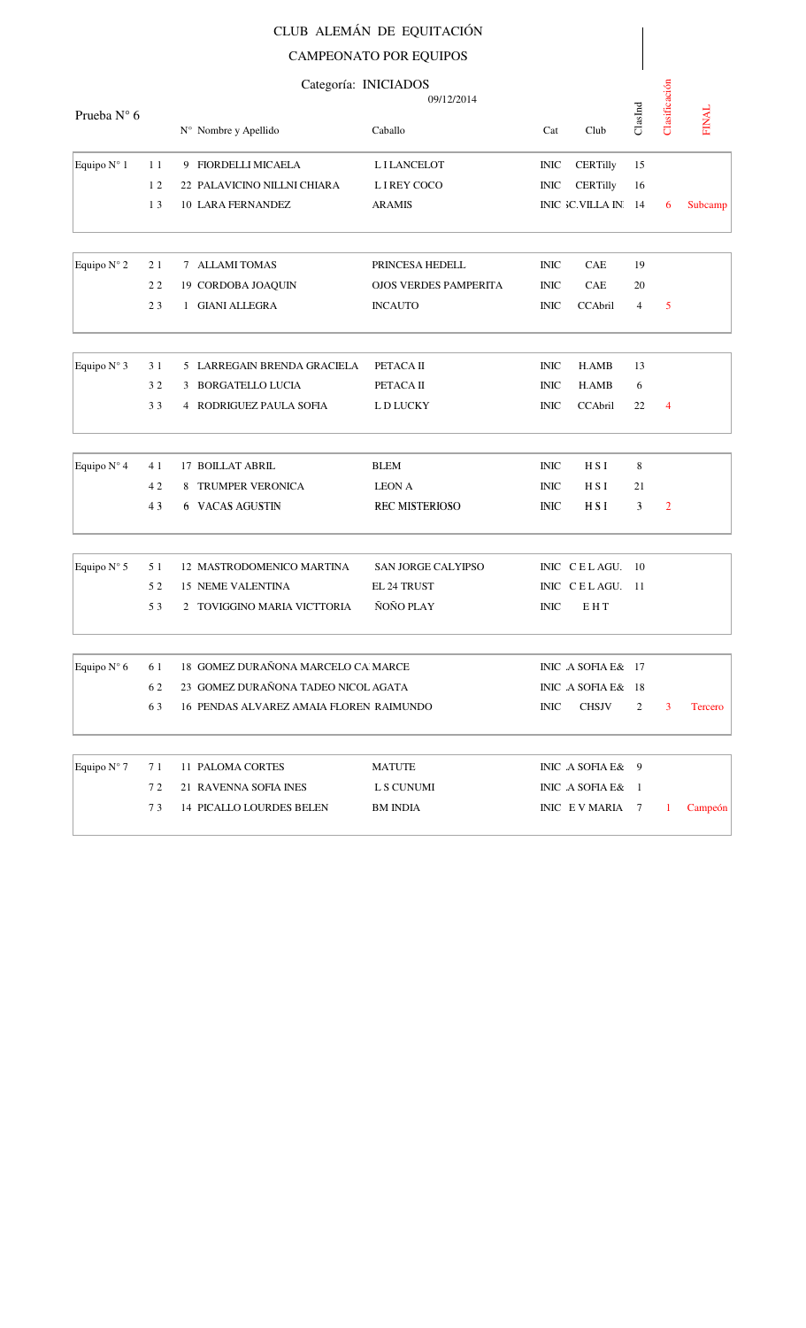# CLUB ALEMÁN DE EQUITACIÓN

## CAMPEONATO POR EQUIPOS

|                      |        |                                                   | Categoría: INICIADOS         |                 |                     |         |                |              |
|----------------------|--------|---------------------------------------------------|------------------------------|-----------------|---------------------|---------|----------------|--------------|
|                      |        |                                                   | 09/12/2014                   |                 |                     |         |                |              |
| Prueba N° 6          |        | N° Nombre y Apellido                              | Caballo                      | Cat             | Club                | ClasInd | Clasificación  | <b>FINAL</b> |
| Equipo N° 1          | $1\,1$ | 9 FIORDELLI MICAELA                               | L I LANCELOT                 | <b>INIC</b>     | <b>CERTilly</b>     | 15      |                |              |
|                      | 12     | 22 PALAVICINO NILLNI CHIARA                       | L I REY COCO                 | <b>INIC</b>     | <b>CERTilly</b>     | 16      |                |              |
|                      | 13     | <b>10 LARA FERNANDEZ</b>                          | <b>ARAMIS</b>                |                 | INIC SC.VILLA IN 14 |         | 6              | Subcamp      |
| Equipo N° 2          | 21     | 7 ALLAMI TOMAS                                    | PRINCESA HEDELL              | <b>INIC</b>     | CAE                 | 19      |                |              |
|                      | 22     | 19 CORDOBA JOAQUIN                                | <b>OJOS VERDES PAMPERITA</b> | <b>INIC</b>     | CAE                 | 20      |                |              |
|                      | 23     | 1 GIANI ALLEGRA                                   | <b>INCAUTO</b>               | <b>INIC</b>     | CCAbril             | 4       | 5              |              |
| Equipo $N^{\circ}$ 3 | 31     | 5 LARREGAIN BRENDA GRACIELA                       | PETACA II                    | <b>INIC</b>     | H.AMB               | 13      |                |              |
|                      | 32     | 3 BORGATELLO LUCIA                                | PETACA II                    | <b>INIC</b>     | H.AMB               | 6       |                |              |
|                      | 33     | 4 RODRIGUEZ PAULA SOFIA                           | L D LUCKY                    | <b>INIC</b>     | CCAbril             | 22      | $\overline{4}$ |              |
| Equipo N° 4          | 41     | 17 BOILLAT ABRIL                                  | <b>BLEM</b>                  | <b>INIC</b>     | H S I               | 8       |                |              |
|                      | 42     | 8 TRUMPER VERONICA                                | <b>LEON A</b>                | <b>INIC</b>     | H S I               | 21      |                |              |
|                      | 43     | 6 VACAS AGUSTIN                                   | REC MISTERIOSO               | $\mathbb{INIC}$ | H S I               | 3       | $\overline{2}$ |              |
| Equipo $N^{\circ}$ 5 | 5 1    | 12 MASTRODOMENICO MARTINA                         | <b>SAN JORGE CALYIPSO</b>    |                 | INIC CELAGU.        | - 10    |                |              |
|                      | 52     | <b>15 NEME VALENTINA</b>                          | <b>EL 24 TRUST</b>           |                 | INIC CELAGU.        | - 11    |                |              |
|                      | 53     | 2 TOVIGGINO MARIA VICTTORIA                       | ÑOÑO PLAY                    | <b>INIC</b>     | EHT                 |         |                |              |
|                      |        | Equipo N° 6 61 18 GOMEZ DURAÑONA MARCELO CA MARCE |                              |                 | INIC A SOFIA E& 17  |         |                |              |
|                      | 62     | 23 GOMEZ DURAÑONA TADEO NICOL AGATA               |                              |                 | INIC A SOFIA E& 18  |         |                |              |
|                      | 63     | 16 PENDAS ALVAREZ AMAIA FLOREN RAIMUNDO           |                              | $\sf INIC$      | <b>CHSJV</b>        | 2       | 3              | Tercero      |
| Equipo N° 7          | 71     | 11 PALOMA CORTES                                  | <b>MATUTE</b>                |                 | INIC A SOFIA E& 9   |         |                |              |
|                      | 72     | 21 RAVENNA SOFIA INES                             | L S CUNUMI                   |                 | INIC A SOFIA E& 1   |         |                |              |
|                      | 73     | 14 PICALLO LOURDES BELEN                          | <b>BM INDIA</b>              |                 | INIC EVMARIA 7      |         | 1              | Campeón      |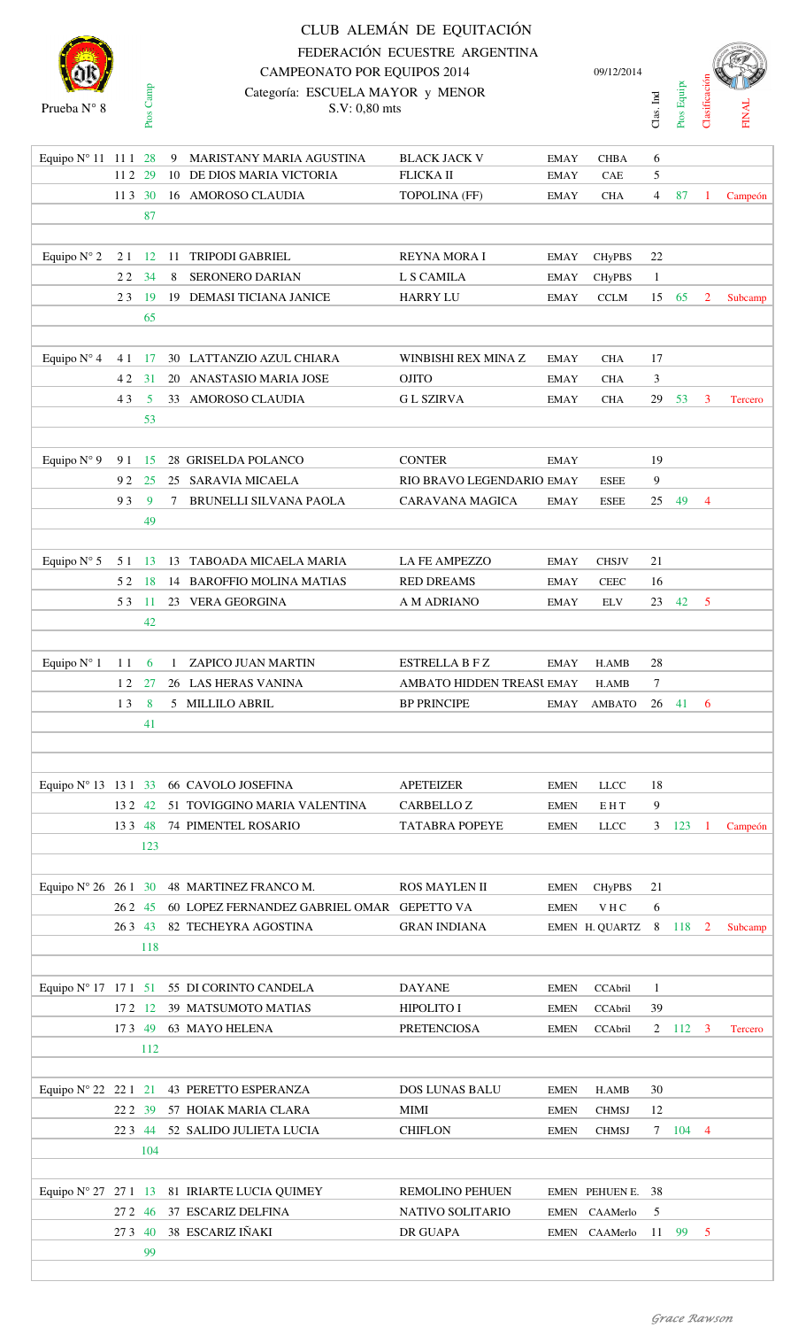

Ptos Camp

### Categoría: ESCUELA MAYOR y MENOR S.V: 0,80 mts CLUB ALEMÁN DE EQUITACIÓN FEDERACIÓN ECUESTRE ARGENTINA CAMPEONATO POR EQUIPOS 2014



| Equipo N° 11 11 1 28                |          |         |    | 9 MARISTANY MARIA AGUSTINA                 | <b>BLACK JACK V</b>                        | <b>EMAY</b> | <b>CHBA</b>      | 6              |               |                |         |
|-------------------------------------|----------|---------|----|--------------------------------------------|--------------------------------------------|-------------|------------------|----------------|---------------|----------------|---------|
|                                     | 112      | 29      |    | 10 DE DIOS MARIA VICTORIA                  | FLICKA II                                  | <b>EMAY</b> | CAE              | 5              |               |                |         |
|                                     | 11 3 30  |         |    | 16 AMOROSO CLAUDIA                         | TOPOLINA (FF)                              | <b>EMAY</b> | <b>CHA</b>       | $\overline{4}$ | 87            | -1             | Campeón |
|                                     |          | 87      |    |                                            |                                            |             |                  |                |               |                |         |
|                                     |          |         |    |                                            |                                            |             |                  |                |               |                |         |
| Equipo $N^{\circ}$ 2                |          |         |    | 2 1 12 11 TRIPODI GABRIEL                  | <b>REYNA MORA I</b>                        | EMAY        | <b>CHyPBS</b>    | 22             |               |                |         |
|                                     | 22       | 34      | 8  | <b>SERONERO DARIAN</b>                     | L S CAMILA                                 | <b>EMAY</b> | <b>CHyPBS</b>    | 1              |               |                |         |
|                                     | 23       | -19     |    | 19 DEMASI TICIANA JANICE                   | <b>HARRY LU</b>                            | <b>EMAY</b> | <b>CCLM</b>      | 15             | 65            | 2              | Subcamp |
|                                     |          | 65      |    |                                            |                                            |             |                  |                |               |                |         |
|                                     |          |         |    |                                            |                                            |             |                  |                |               |                |         |
| Equipo $N^{\circ}$ 4                | 41       | -17     |    | 30 LATTANZIO AZUL CHIARA                   | WINBISHI REX MINA Z                        | <b>EMAY</b> | <b>CHA</b>       | 17             |               |                |         |
|                                     | 42       | 31      |    | 20 ANASTASIO MARIA JOSE                    | <b>OJITO</b>                               | <b>EMAY</b> | <b>CHA</b>       | 3              |               |                |         |
|                                     | 43       | 5       |    | 33 AMOROSO CLAUDIA                         | <b>GL SZIRVA</b>                           | <b>EMAY</b> | <b>CHA</b>       | 29             | 53            | 3              | Tercero |
|                                     |          | 53      |    |                                            |                                            |             |                  |                |               |                |         |
|                                     |          |         |    |                                            |                                            |             |                  |                |               |                |         |
| Equipo $N^{\circ}$ 9                | 91       | - 15    |    | 28 GRISELDA POLANCO                        | <b>CONTER</b><br>RIO BRAVO LEGENDARIO EMAY | <b>EMAY</b> |                  | 19             |               |                |         |
|                                     | 92       | 25      |    | 25 SARAVIA MICAELA                         |                                            |             | <b>ESEE</b>      | 9              |               |                |         |
|                                     | 93       | 9<br>49 |    | 7 BRUNELLI SILVANA PAOLA                   | <b>CARAVANA MAGICA</b>                     | <b>EMAY</b> | <b>ESEE</b>      | 25             | 49            | $\overline{4}$ |         |
|                                     |          |         |    |                                            |                                            |             |                  |                |               |                |         |
| Equipo $N^{\circ}$ 5                | 51       | 13      |    | 13 TABOADA MICAELA MARIA                   | <b>LA FE AMPEZZO</b>                       | <b>EMAY</b> | <b>CHSJV</b>     | 21             |               |                |         |
|                                     | 52       | -18     |    | 14 BAROFFIO MOLINA MATIAS                  | <b>RED DREAMS</b>                          | <b>EMAY</b> | <b>CEEC</b>      | 16             |               |                |         |
|                                     | 53       | 11      |    | 23 VERA GEORGINA                           | A M ADRIANO                                | <b>EMAY</b> | <b>ELV</b>       | 23             | 42            | 5              |         |
|                                     |          | 42      |    |                                            |                                            |             |                  |                |               |                |         |
|                                     |          |         |    |                                            |                                            |             |                  |                |               |                |         |
| Equipo N° 1                         | 11       | 6       | -1 | ZAPICO JUAN MARTIN                         | <b>ESTRELLA B F Z</b>                      | <b>EMAY</b> | H.AMB            | 28             |               |                |         |
|                                     | 1 2 2 7  |         |    | <b>26 LAS HERAS VANINA</b>                 | <b>AMBATO HIDDEN TREASU EMAY</b>           |             | H.AMB            | 7              |               |                |         |
|                                     | 13       | 8       |    | 5 MILLILO ABRIL                            | <b>BP PRINCIPE</b>                         | EMAY        | <b>AMBATO</b>    | 26             | 41            | 6              |         |
|                                     |          | 41      |    |                                            |                                            |             |                  |                |               |                |         |
|                                     |          |         |    |                                            |                                            |             |                  |                |               |                |         |
|                                     |          |         |    |                                            |                                            |             |                  |                |               |                |         |
| Equipo $N^{\circ}$ 13 1 31 33       |          |         |    | <b>66 CAVOLO JOSEFINA</b>                  | <b>APETEIZER</b>                           | <b>EMEN</b> | <b>LLCC</b>      | 18             |               |                |         |
|                                     | 13 2 42  |         |    | 51 TOVIGGINO MARIA VALENTINA               | <b>CARBELLOZ</b>                           | <b>EMEN</b> | EHT              | 9              |               |                |         |
|                                     | 13 3 48  |         |    | <b>74 PIMENTEL ROSARIO</b>                 | <b>TATABRA POPEYE</b>                      | <b>EMEN</b> | <b>LLCC</b>      | 3              | 123           | $\blacksquare$ | Campeón |
|                                     |          | 123     |    |                                            |                                            |             |                  |                |               |                |         |
|                                     |          |         |    |                                            |                                            |             |                  |                |               |                |         |
| Equipo $N^{\circ} 26 \ 26 \ 1 \ 30$ |          |         |    | 48 MARTINEZ FRANCO M.                      | <b>ROS MAYLEN II</b>                       | <b>EMEN</b> | <b>CHyPBS</b>    | 21             |               |                |         |
|                                     | 26 2 45  |         |    | 60 LOPEZ FERNANDEZ GABRIEL OMAR GEPETTO VA |                                            | <b>EMEN</b> | VHC              | 6              |               |                |         |
|                                     | 26 3 43  |         |    | 82 TECHEYRA AGOSTINA                       | <b>GRAN INDIANA</b>                        |             | EMEN H. QUARTZ 8 |                | 118           | $\mathbf{2}$   | Subcamp |
|                                     |          | 118     |    |                                            |                                            |             |                  |                |               |                |         |
|                                     |          |         |    |                                            |                                            |             |                  |                |               |                |         |
|                                     |          |         |    | Equipo N° 17 17 1 51 55 DI CORINTO CANDELA | <b>DAYANE</b>                              | <b>EMEN</b> | CCAbril          | 1              |               |                |         |
|                                     | 172 12   |         |    | 39 MATSUMOTO MATIAS                        | <b>HIPOLITO I</b>                          | <b>EMEN</b> | CCAbril          | 39             |               |                |         |
|                                     | 173 49   |         |    | 63 MAYO HELENA                             | <b>PRETENCIOSA</b>                         | <b>EMEN</b> | CCAbril          |                | $2 \t112 \t3$ |                | Tercero |
|                                     |          | 112     |    |                                            |                                            |             |                  |                |               |                |         |
|                                     |          |         |    |                                            |                                            |             |                  |                |               |                |         |
|                                     |          |         |    | Equipo N° 22 22 1 21 43 PERETTO ESPERANZA  | <b>DOS LUNAS BALU</b>                      | <b>EMEN</b> | H.AMB            | 30             |               |                |         |
|                                     | 22 2 39  |         |    | 57 HOIAK MARIA CLARA                       | <b>MIMI</b>                                | <b>EMEN</b> | <b>CHMSJ</b>     | 12             |               |                |         |
|                                     | 22 3 44  |         |    | 52 SALIDO JULIETA LUCIA                    | <b>CHIFLON</b>                             | <b>EMEN</b> | <b>CHMSJ</b>     |                | 7 104 4       |                |         |
|                                     |          | 104     |    |                                            |                                            |             |                  |                |               |                |         |
| Equipo $N^{\circ} 27 \ 27 \ 1 \ 13$ |          |         |    | 81 IRIARTE LUCIA QUIMEY                    | REMOLINO PEHUEN                            |             | EMEN PEHUEN E.   | 38             |               |                |         |
|                                     | 27 2 4 6 |         |    | 37 ESCARIZ DELFINA                         | <b>NATIVO SOLITARIO</b>                    | EMEN        | CAAMerlo         | 5              |               |                |         |
|                                     | 27 3 40  |         |    | 38 ESCARIZ IÑAKI                           | DR GUAPA                                   |             | EMEN CAAMerlo    | - 11           | 99            | 5              |         |
|                                     |          | 99      |    |                                            |                                            |             |                  |                |               |                |         |
|                                     |          |         |    |                                            |                                            |             |                  |                |               |                |         |